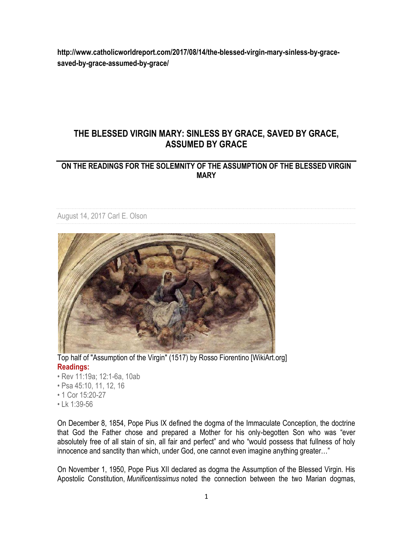**http://www.catholicworldreport.com/2017/08/14/the-blessed-virgin-mary-sinless-by-gracesaved-by-grace-assumed-by-grace/**

## **THE BLESSED VIRGIN MARY: SINLESS BY GRACE, SAVED BY GRACE, ASSUMED BY GRACE**

## **ON THE READINGS FOR THE SOLEMNITY OF THE ASSUMPTION OF THE BLESSED VIRGIN MARY**

[August 14, 2017](http://www.catholicworldreport.com/2017/08/) [Carl E. Olson](http://www.catholicworldreport.com/author/olson-carl/)



Top half of "Assumption of the Virgin" (1517) by Rosso Fiorentino [WikiArt.org] **[Readings:](http://www.usccb.org/bible/readings/081517-mass-during-day.cfm)**

- Rev 11:19a; 12:1-6a, 10ab
- Psa 45:10, 11, 12, 16
- 1 Cor 15:20-27
- Lk 1:39-56

On December 8, 1854, Pope Pius IX defined the dogma of the Immaculate Conception, the doctrine that God the Father chose and prepared a Mother for his only-begotten Son who was "ever absolutely free of all stain of sin, all fair and perfect" and who "would possess that fullness of holy innocence and sanctity than which, under God, one cannot even imagine anything greater..."

On November 1, 1950, Pope Pius XII declared as dogma the Assumption of the Blessed Virgin. His Apostolic Constitution, *Munificentissimus* noted the connection between the two Marian dogmas,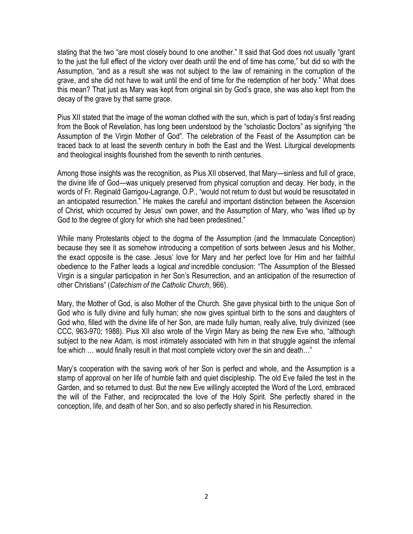stating that the two "are most closely bound to one another." It said that God does not usually "grant to the just the full effect of the victory over death until the end of time has come," but did so with the Assumption, "and as a result she was not subject to the law of remaining in the corruption of the grave, and she did not have to wait until the end of time for the redemption of her body." What does this mean? That just as Mary was kept from original sin by God's grace, she was also kept from the decay of the grave by that same grace.

Pius XII stated that the image of the woman clothed with the sun, which is part of today's first reading from the Book of Revelation, has long been understood by the "scholastic Doctors" as signifying "the Assumption of the Virgin Mother of God". The celebration of the Feast of the Assumption can be traced back to at least the seventh century in both the East and the West. Liturgical developments and theological insights flourished from the seventh to ninth centuries.

Among those insights was the recognition, as Pius XII observed, that Mary—sinless and full of grace, the divine life of God—was uniquely preserved from physical corruption and decay. Her body, in the words of Fr. Reginald Garrigou-Lagrange, O.P., "would not return to dust but would be resuscitated in an anticipated resurrection." He makes the careful and important distinction between the Ascension of Christ, which occurred by Jesus' own power, and the Assumption of Mary, who "was lifted up by God to the degree of glory for which she had been predestined."

While many Protestants object to the dogma of the Assumption (and the Immaculate Conception) because they see it as somehow introducing a competition of sorts between Jesus and his Mother, the exact opposite is the case. Jesus' love for Mary and her perfect love for Him and her faithful obedience to the Father leads a logical *and* incredible conclusion: "The Assumption of the Blessed Virgin is a singular participation in her Son's Resurrection, and an anticipation of the resurrection of other Christians" (*Catechism of the Catholic Church*, 966).

Mary, the Mother of God, is also Mother of the Church. She gave physical birth to the unique Son of God who is fully divine and fully human; she now gives spiritual birth to the sons and daughters of God who, filled with the divine life of her Son, are made fully human, really alive, truly divinized (see CCC, 963-970; 1988). Pius XII also wrote of the Virgin Mary as being the new Eve who, "although subject to the new Adam, is most intimately associated with him in that struggle against the infernal foe which … would finally result in that most complete victory over the sin and death…"

Mary's cooperation with the saving work of her Son is perfect and whole, and the Assumption is a stamp of approval on her life of humble faith and quiet discipleship. The old Eve failed the test in the Garden, and so returned to dust. But the new Eve willingly accepted the Word of the Lord, embraced the will of the Father, and reciprocated the love of the Holy Spirit. She perfectly shared in the conception, life, and death of her Son, and so also perfectly shared in his Resurrection.